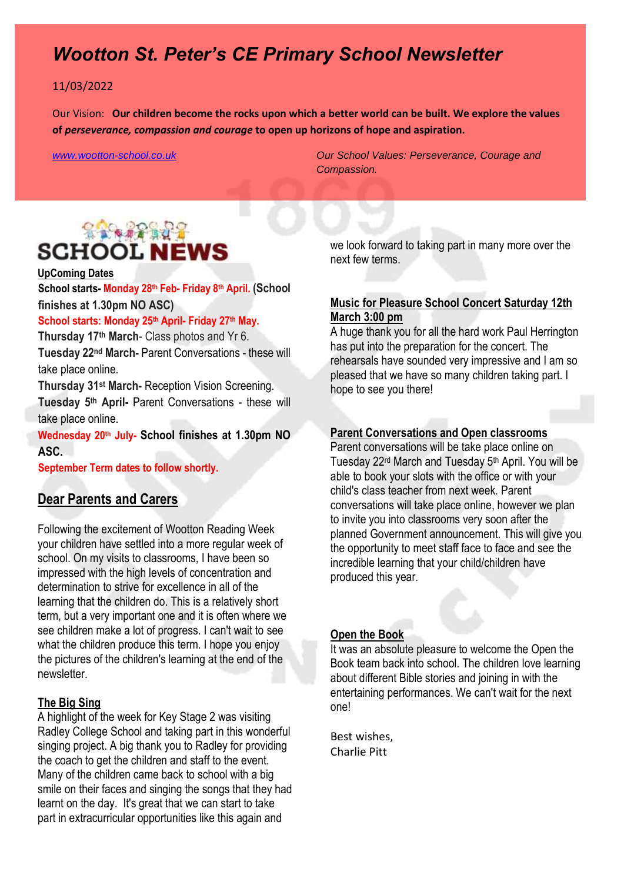## *Wootton St. Peter's CE Primary School Newsletter*

#### 11/03/2022

Our Vision: **Our children become the rocks upon which a better world can be built. We explore the values of** *perseverance, compassion and courage* **to open up horizons of hope and aspiration.** 

*[www.wootton-school.co.uk](http://www.wootton-school.co.uk/) Our School Values: Perseverance, Courage and Compassion.*

# **SACRA REPAIR SCHOOL NEWS**

#### **UpComing Dates**

**School starts- Monday 28th Feb- Friday 8th April. (School finishes at 1.30pm NO ASC)**

#### **School starts: Monday 25th April- Friday 27th May.**

**Thursday 17th March**- Class photos and Yr 6. **Tuesday 22nd March-** Parent Conversations - these will take place online.

**Thursday 31st March-** Reception Vision Screening. **Tuesday 5th April-** Parent Conversations - these will take place online.

**Wednesday 20th July- School finishes at 1.30pm NO ASC.**

**September Term dates to follow shortly.** 

#### **Dear Parents and Carers**

Following the excitement of Wootton Reading Week your children have settled into a more regular week of school. On my visits to classrooms, I have been so impressed with the high levels of concentration and determination to strive for excellence in all of the learning that the children do. This is a relatively short term, but a very important one and it is often where we see children make a lot of progress. I can't wait to see what the children produce this term. I hope you enjoy the pictures of the children's learning at the end of the newsletter.

#### **The Big Sing**

A highlight of the week for Key Stage 2 was visiting Radley College School and taking part in this wonderful singing project. A big thank you to Radley for providing the coach to get the children and staff to the event. Many of the children came back to school with a big smile on their faces and singing the songs that they had learnt on the day. It's great that we can start to take part in extracurricular opportunities like this again and

we look forward to taking part in many more over the next few terms.

#### **Music for Pleasure School Concert Saturday 12th March 3:00 pm**

A huge thank you for all the hard work Paul Herrington has put into the preparation for the concert. The rehearsals have sounded very impressive and I am so pleased that we have so many children taking part. I hope to see you there!

#### **Parent Conversations and Open classrooms**

Parent conversations will be take place online on Tuesday 22rd March and Tuesday 5th April. You will be able to book your slots with the office or with your child's class teacher from next week. Parent conversations will take place online, however we plan to invite you into classrooms very soon after the planned Government announcement. This will give you the opportunity to meet staff face to face and see the incredible learning that your child/children have produced this year.

#### **Open the Book**

It was an absolute pleasure to welcome the Open the Book team back into school. The children love learning about different Bible stories and joining in with the entertaining performances. We can't wait for the next one!

Best wishes, Charlie Pitt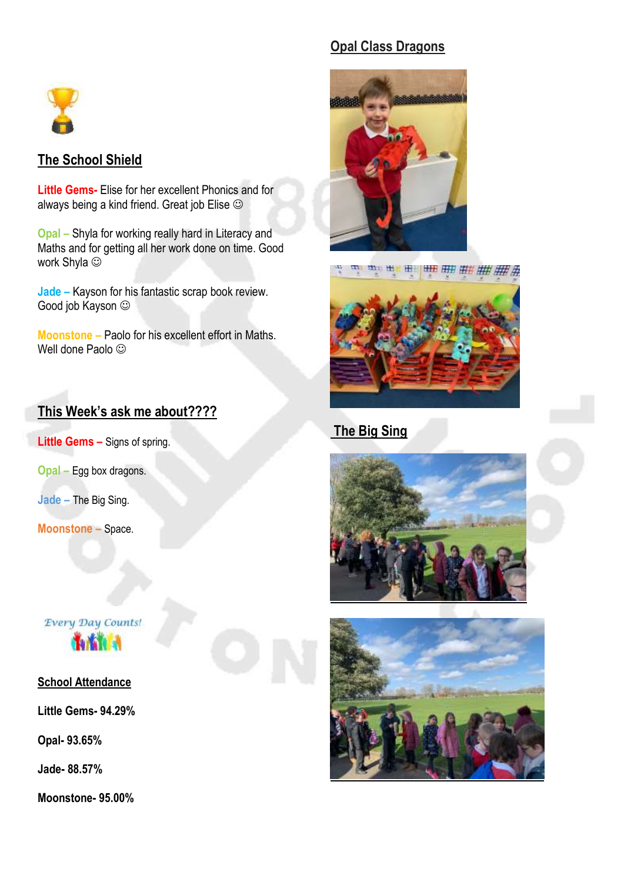

### **The School Shield**

**Little Gems-** Elise for her excellent Phonics and for always being a kind friend. Great job Elise  $\odot$ 

**Opal –** Shyla for working really hard in Literacy and Maths and for getting all her work done on time. Good work Shyla  $\odot$ 

**Jade –** Kayson for his fantastic scrap book review. Good job Kayson

**Moonstone –** Paolo for his excellent effort in Maths. Well done Paolo  $\odot$ 

## **This Week's ask me about????**

**Little Gems –** Signs of spring.

**Opal –** Egg box dragons.

**Jade –** The Big Sing.

**Moonstone –** Space.

# **Every Day Counts!**

#### **School Attendance**

**Little Gems- 94.29%**

**Opal- 93.65%**

**Jade- 88.57%**

**Moonstone- 95.00%**

## **Opal Class Dragons**





## **The Big Sing**